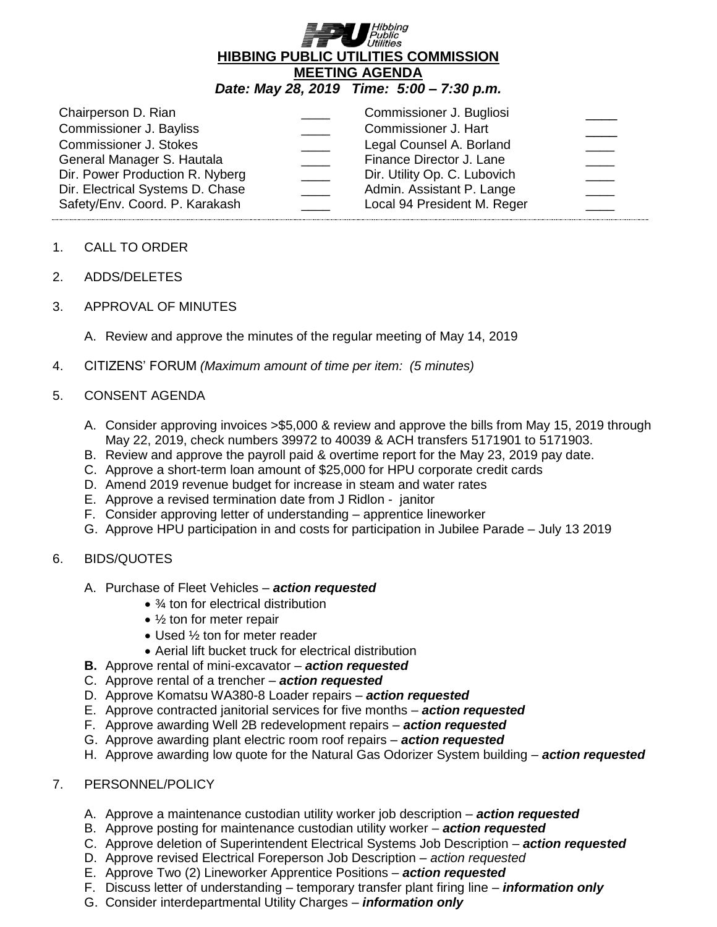

| Chairperson D. Rian<br><b>Commissioner J. Bayliss</b><br><b>Commissioner J. Stokes</b><br>General Manager S. Hautala<br>Dir. Power Production R. Nyberg<br>Dir. Electrical Systems D. Chase<br>Safety/Env. Coord. P. Karakash |  | Commissioner J. Bugliosi<br>Commissioner J. Hart<br>Legal Counsel A. Borland<br>Finance Director J. Lane<br>Dir. Utility Op. C. Lubovich<br>Admin. Assistant P. Lange<br>Local 94 President M. Reger |  |
|-------------------------------------------------------------------------------------------------------------------------------------------------------------------------------------------------------------------------------|--|------------------------------------------------------------------------------------------------------------------------------------------------------------------------------------------------------|--|
|-------------------------------------------------------------------------------------------------------------------------------------------------------------------------------------------------------------------------------|--|------------------------------------------------------------------------------------------------------------------------------------------------------------------------------------------------------|--|

- 1. CALL TO ORDER
- 2. ADDS/DELETES
- 3. APPROVAL OF MINUTES
	- A. Review and approve the minutes of the regular meeting of May 14, 2019
- 4. CITIZENS' FORUM *(Maximum amount of time per item: (5 minutes)*

### 5. CONSENT AGENDA

- A. Consider approving invoices >\$5,000 & review and approve the bills from May 15, 2019 through May 22, 2019, check numbers 39972 to 40039 & ACH transfers 5171901 to 5171903.
- B. Review and approve the payroll paid & overtime report for the May 23, 2019 pay date.
- C. Approve a short-term loan amount of \$25,000 for HPU corporate credit cards
- D. Amend 2019 revenue budget for increase in steam and water rates
- E. Approve a revised termination date from J Ridlon janitor
- F. Consider approving letter of understanding apprentice lineworker
- G. Approve HPU participation in and costs for participation in Jubilee Parade July 13 2019

# 6. BIDS/QUOTES

- A. Purchase of Fleet Vehicles *action requested*
	- 3⁄4 ton for electrical distribution
	- $\bullet$   $\frac{1}{2}$  ton for meter repair
	- Used 1/2 ton for meter reader
	- Aerial lift bucket truck for electrical distribution
- **B.** Approve rental of mini-excavator *action requested*
- C. Approve rental of a trencher *action requested*
- D. Approve Komatsu WA380-8 Loader repairs *action requested*
- E. Approve contracted janitorial services for five months *action requested*
- F. Approve awarding Well 2B redevelopment repairs *action requested*
- G. Approve awarding plant electric room roof repairs *action requested*
- H. Approve awarding low quote for the Natural Gas Odorizer System building *action requested*

### 7. PERSONNEL/POLICY

- A. Approve a maintenance custodian utility worker job description *action requested*
- B. Approve posting for maintenance custodian utility worker *action requested*
- C. Approve deletion of Superintendent Electrical Systems Job Description *action requested*
- D. Approve revised Electrical Foreperson Job Description *action requested*
- E. Approve Two (2) Lineworker Apprentice Positions *action requested*
- F. Discuss letter of understanding temporary transfer plant firing line *information only*
- G. Consider interdepartmental Utility Charges *information only*